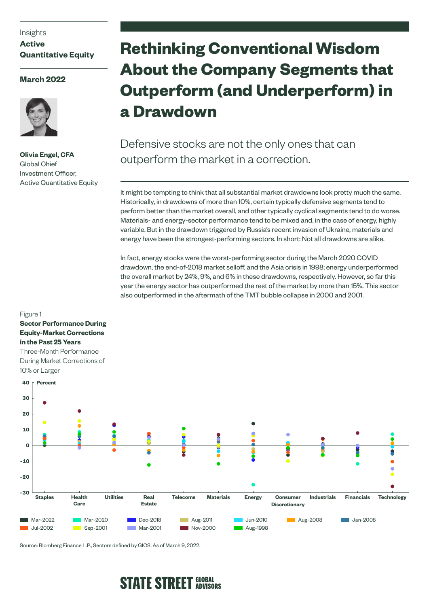### Insights

**Active Quantitative Equity**

## **March 2022**



Figure 1

**Sector Performance During** 

**Olivia Engel, CFA** Global Chief Investment Officer, Active Quantitative Equity

# **Rethinking Conventional Wisdom About the Company Segments that Outperform (and Underperform) in a Drawdown**

Defensive stocks are not the only ones that can outperform the market in a correction.

It might be tempting to think that all substantial market drawdowns look pretty much the same. Historically, in drawdowns of more than 10%, certain typically defensive segments tend to perform better than the market overall, and other typically cyclical segments tend to do worse. Materials- and energy-sector performance tend to be mixed and, in the case of energy, highly variable. But in the drawdown triggered by Russia's recent invasion of Ukraine, materials and energy have been the strongest-performing sectors. In short: Not all drawdowns are alike.

In fact, energy stocks were the worst-performing sector during the March 2020 COVID drawdown, the end-of-2018 market selloff, and the Asia crisis in 1998; energy underperformed the overall market by 24%, 9%, and 6% in these drawdowns, respectively. However, so far this year the energy sector has outperformed the rest of the market by more than 15%. This sector also outperformed in the aftermath of the TMT bubble collapse in 2000 and 2001.



Source: Blomberg Finance L.P., Sectors defined by GICS. As of March 9, 2022.

# **STATE STREET GLOBAL**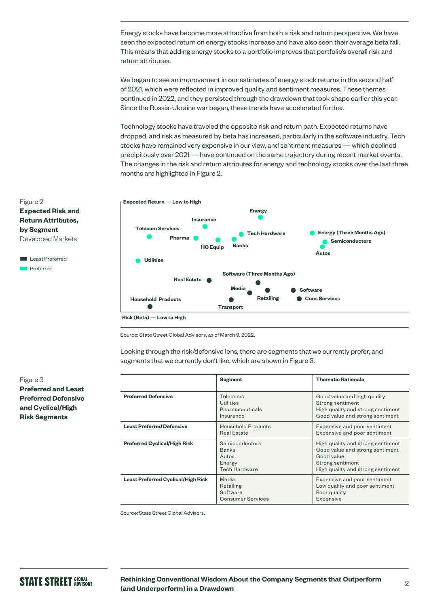Energy stocks have become more attractive from both a risk and return perspective. We have seen the expected return on energy stocks increase and have also seen their average beta fall. This means that adding energy stocks to a portfolio improves that portfolio's overall risk and return attributes.

We began to see an improvement in our estimates of energy stock returns in the second half of 2021, which were reflected in improved quality and sentiment measures. These themes continued in 2022, and they persisted through the drawdown that took shape earlier this year. Since the Russia-Ukraine war began, these trends have accelerated further.

Technology stocks have traveled the opposite risk and return path. Expected returns have dropped, and risk as measured by beta has increased, particularly in the software industry. Tech stocks have remained very expensive in our view, and sentiment measures — which declined precipitously over 2021 — have continued on the same trajectory during recent market events. The changes in the risk and return attributes for energy and technology stocks over the last three months are highlighted in Figure 2.



Source: State Street Global Advisors, as of March 9, 2022.

Looking through the risk/defensive lens, there are segments that we currently prefer, and segments that we currently don't like, which are shown in Figure 3.

|                                           | <b>Segment</b>                                                            | <b>Thematic Rationale</b>                                                                                                                   |
|-------------------------------------------|---------------------------------------------------------------------------|---------------------------------------------------------------------------------------------------------------------------------------------|
| <b>Preferred Defensive</b>                | Telecoms<br>Utilities<br>Pharmaceuticals<br>Insurance                     | Good value and high quality<br>Strong sentiment<br>High quality and strong sentiment<br>Good value and strong sentiment                     |
| <b>Least Preferred Defensive</b>          | <b>Household Products</b><br><b>Real Estate</b>                           | Expensive and poor sentiment<br>Expensive and poor sentiment                                                                                |
| <b>Preferred Cyclical/High Risk</b>       | Semiconductors<br><b>Banks</b><br>Autos<br>Energy<br><b>Tech Hardware</b> | High quality and strong sentiment<br>Good value and strong sentiment<br>Good value<br>Strong sentiment<br>High quality and strong sentiment |
| <b>Least Preferred Cyclical/High Risk</b> | Media<br>Retailing<br>Software<br><b>Consumer Services</b>                | Expensive and poor sentiment<br>Low quality and poor sentiment<br>Poor quality<br>Expensive                                                 |

Source: State Street Global Advisors.

Figure 2 **Expected Risk and Return Attributes, by Segment** Developed Markets

**Least Preferred** Preferred

#### Figure 3

**Preferred and Least Preferred Defensive and Cyclical/High Risk Segments**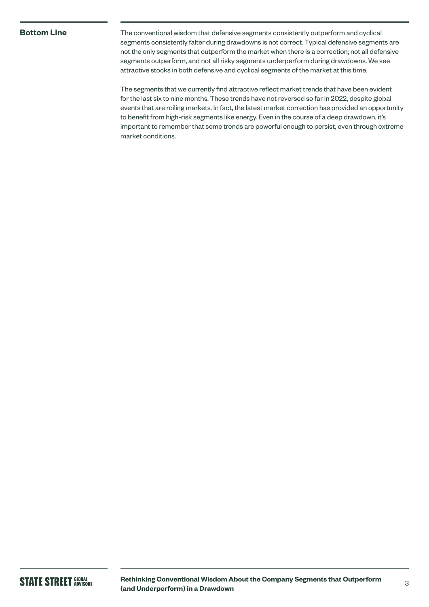### **Bottom Line**

The conventional wisdom that defensive segments consistently outperform and cyclical segments consistently falter during drawdowns is not correct. Typical defensive segments are not the only segments that outperform the market when there is a correction; not all defensive segments outperform, and not all risky segments underperform during drawdowns. We see attractive stocks in both defensive and cyclical segments of the market at this time.

The segments that we currently find attractive reflect market trends that have been evident for the last six to nine months. These trends have not reversed so far in 2022, despite global events that are roiling markets. In fact, the latest market correction has provided an opportunity to benefit from high-risk segments like energy. Even in the course of a deep drawdown, it's important to remember that some trends are powerful enough to persist, even through extreme market conditions.